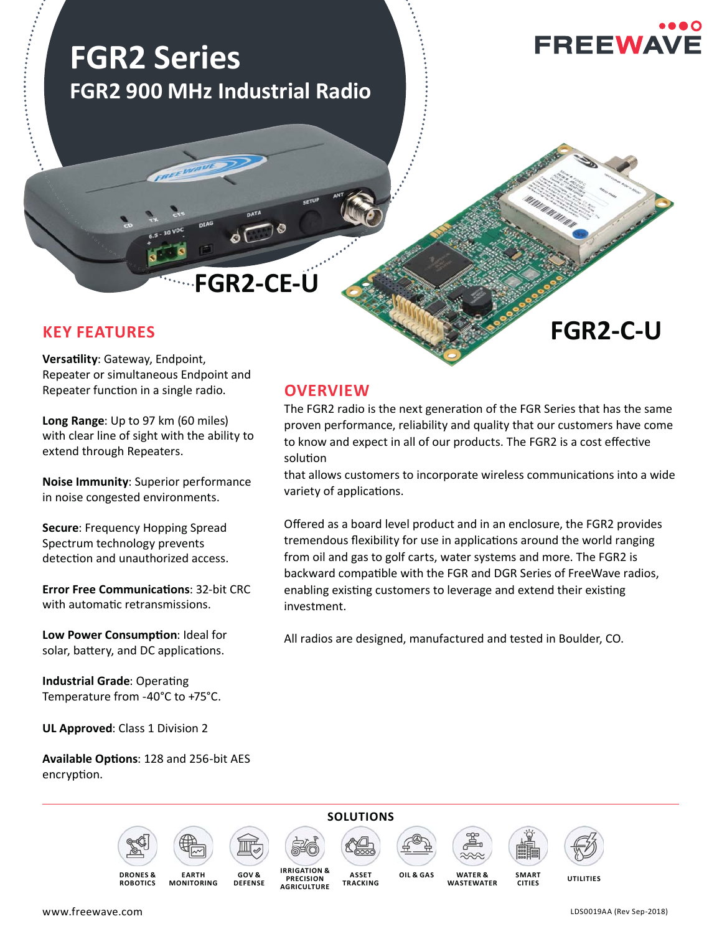# **FGR2 Series FGR2 900 MHz Industrial Radio**

**FGR2-C-U**

# **FGR2-CE-U**

# **KEY FEATURES**

**Versatility: Gateway, Endpoint,** Repeater or simultaneous Endpoint and Repeater function in a single radio.

**Long Range**: Up to 97 km (60 miles) with clear line of sight with the ability to extend through Repeaters.

**Noise Immunity**: Superior performance in noise congested environments.

**Secure**: Frequency Hopping Spread Spectrum technology prevents detection and unauthorized access.

**Error Free Communications: 32-bit CRC** with automatic retransmissions.

**Low Power Consumption: Ideal for** solar, battery, and DC applications.

**Industrial Grade: Operating** Temperature from -40°C to +75°C.

**UL Approved**: Class 1 Division 2

Available Options: 128 and 256-bit AES encryption.

### **OVERVIEW**

The FGR2 radio is the next generation of the FGR Series that has the same proven performance, reliability and quality that our customers have come to know and expect in all of our products. The FGR2 is a cost effective solution

that allows customers to incorporate wireless communications into a wide variety of applications.

Offered as a board level product and in an enclosure, the FGR2 provides tremendous flexibility for use in applications around the world ranging from oil and gas to golf carts, water systems and more. The FGR2 is backward compatible with the FGR and DGR Series of FreeWave radios, enabling existing customers to leverage and extend their existing investment.

All radios are designed, manufactured and tested in Boulder, CO.













**SMART CITIES**



**DRONES & ROBOTICS**

**EARTH MONITORING**

**GOV & DEFENSE**

**OIL & GAS IRRIGATION & PRECISION AGRICULTURE**

**ASSET TRACKING**

**WASTEWATER**

**UTILITIES WATER &** 

www.freewave.com

LDS0019AA (Rev Sep-2018)